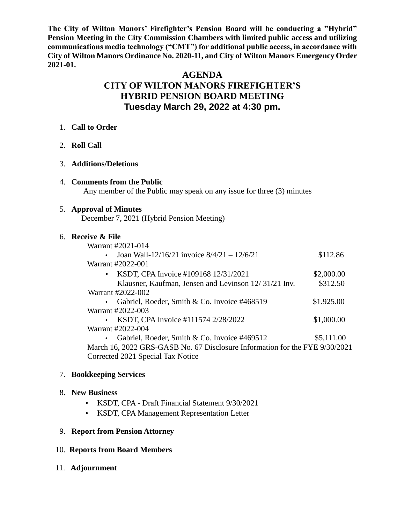**The City of Wilton Manors' Firefighter's Pension Board will be conducting a "Hybrid" Pension Meeting in the City Commission Chambers with limited public access and utilizing communications media technology ("CMT") for additional public access, in accordance with City of Wilton Manors Ordinance No. 2020-11, and City of Wilton Manors Emergency Order 2021-01.**

# **AGENDA**

# **CITY OF WILTON MANORS FIREFIGHTER'S HYBRID PENSION BOARD MEETING Tuesday March 29, 2022 at 4:30 pm.**

#### 1. **Call to Order**

- 2. **Roll Call**
- 3. **Additions/Deletions**
- 4. **Comments from the Public** Any member of the Public may speak on any issue for three (3) minutes

### 5. **Approval of Minutes**

December 7, 2021 (Hybrid Pension Meeting)

#### 6. **Receive & File**

| Warrant #2021-014                                                           |            |
|-----------------------------------------------------------------------------|------------|
| Joan Wall-12/16/21 invoice $8/4/21 - 12/6/21$<br>$\bullet$                  | \$112.86   |
| Warrant #2022-001                                                           |            |
| KSDT, CPA Invoice #109168 12/31/2021<br>$\bullet$                           | \$2,000.00 |
| Klausner, Kaufman, Jensen and Levinson 12/31/21 Inv.                        | \$312.50   |
| Warrant #2022-002                                                           |            |
| Gabriel, Roeder, Smith & Co. Invoice #468519<br>$\bullet$                   | \$1.925.00 |
| Warrant #2022-003                                                           |            |
| KSDT, CPA Invoice #111574 2/28/2022                                         | \$1,000.00 |
| Warrant #2022-004                                                           |            |
| Gabriel, Roeder, Smith & Co. Invoice #469512                                | \$5,111.00 |
| March 16, 2022 GRS-GASB No. 67 Disclosure Information for the FYE 9/30/2021 |            |
| Corrected 2021 Special Tax Notice                                           |            |
|                                                                             |            |

### 7. **Bookkeeping Services**

### 8**. New Business**

- KSDT, CPA Draft Financial Statement 9/30/2021
- KSDT, CPA Management Representation Letter

### 9. **Report from Pension Attorney**

### 10. **Reports from Board Members**

11. **Adjournment**